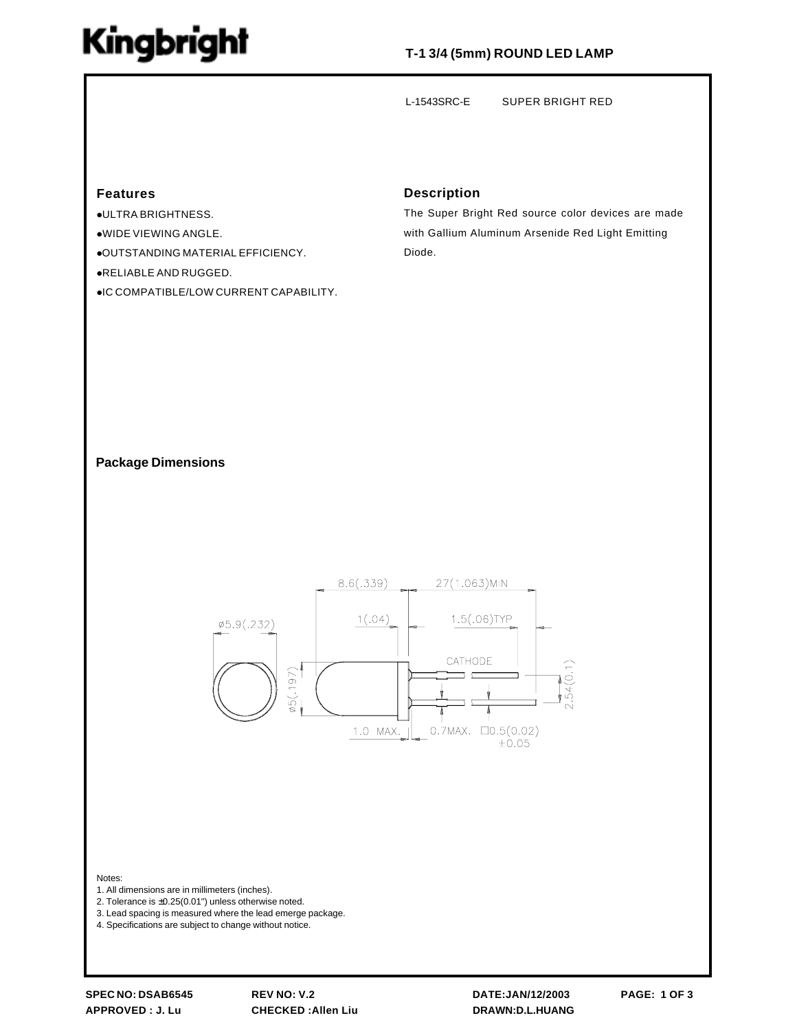# Kingbright

## **T-1 3/4 (5mm) ROUND LED LAMP**

L-1543SRC-E SUPER BRIGHT RED

## **Features**

!ULTRA BRIGHTNESS. !WIDE VIEWING ANGLE. !OUTSTANDING MATERIAL EFFICIENCY. !RELIABLE AND RUGGED. !IC COMPATIBLE/LOW CURRENT CAPABILITY.

### **Description**

The Super Bright Red source color devices are made with Gallium Aluminum Arsenide Red Light Emitting Diode.

### **Package Dimensions**



#### Notes:

- 1. All dimensions are in millimeters (inches).
- 2. Tolerance is ±0.25(0.01") unless otherwise noted.
- 3. Lead spacing is measured where the lead emerge package.
- 4. Specifications are subject to change without notice.

**SPEC NO: DSAB6545 REV NO: V.2 DATE:JAN/12/2003 PAGE: 1 OF 3 APPROVED : J. Lu CHECKED :Allen Liu DRAWN:D.L.HUANG**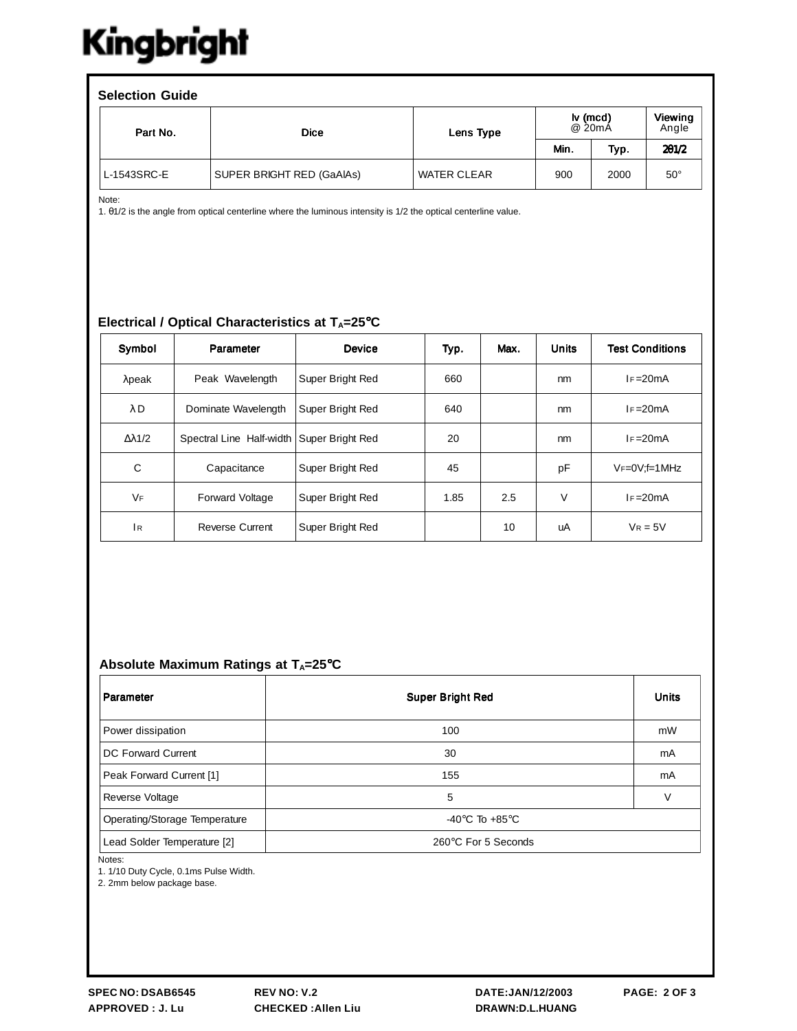# Kingbright

| <b>Selection Guide</b> |                           |                    |                                         |      |                  |  |  |  |  |
|------------------------|---------------------------|--------------------|-----------------------------------------|------|------------------|--|--|--|--|
| Part No.               | <b>Dice</b>               | Lens Type          | $\mathsf{I} \mathsf{v}$ (mcd)<br>@ 20mA |      | Viewing<br>Angle |  |  |  |  |
|                        |                           |                    | Min.                                    | Typ. | 201/2            |  |  |  |  |
| L-1543SRC-E            | SUPER BRIGHT RED (GaAIAs) | <b>WATER CLEAR</b> | 900                                     | 2000 | $50^\circ$       |  |  |  |  |

Note:

1. θ1/2 is the angle from optical centerline where the luminous intensity is 1/2 the optical centerline value.

## **Electrical / Optical Characteristics at T<sub>A</sub>=25°C**

| Symbol               | Parameter                | Device           | Typ. | Max. | <b>Units</b> | <b>Test Conditions</b> |
|----------------------|--------------------------|------------------|------|------|--------------|------------------------|
| $λ$ peak             | Peak Wavelength          | Super Bright Red | 660  |      | nm           | $I = 20mA$             |
| λD                   | Dominate Wavelength      | Super Bright Red | 640  |      | nm           | $I = 20mA$             |
| $\Delta \lambda$ 1/2 | Spectral Line Half-width | Super Bright Red | 20   |      | nm           | $I = 20mA$             |
| C                    | Capacitance              | Super Bright Red | 45   |      | pF           | $V_F=0V$ : f=1 MHz     |
| <b>VF</b>            | Forward Voltage          | Super Bright Red | 1.85 | 2.5  | $\vee$       | $I = 20mA$             |
| 1 <sub>R</sub>       | <b>Reverse Current</b>   | Super Bright Red |      | 10   | uA           | $V_R = 5V$             |

## Absolute Maximum Ratings at T<sub>A</sub>=25°C

| Parameter                     | <b>Super Bright Red</b>              | <b>Units</b> |
|-------------------------------|--------------------------------------|--------------|
| Power dissipation             | 100                                  | mW           |
| DC Forward Current            | 30                                   | mA           |
| Peak Forward Current [1]      | 155                                  | mA           |
| Reverse Voltage               | 5                                    | $\vee$       |
| Operating/Storage Temperature | -40 $^{\circ}$ C To +85 $^{\circ}$ C |              |
| Lead Solder Temperature [2]   | 260°C For 5 Seconds                  |              |

Notes:

1. 1/10 Duty Cycle, 0.1ms Pulse Width.

2. 2mm below package base.